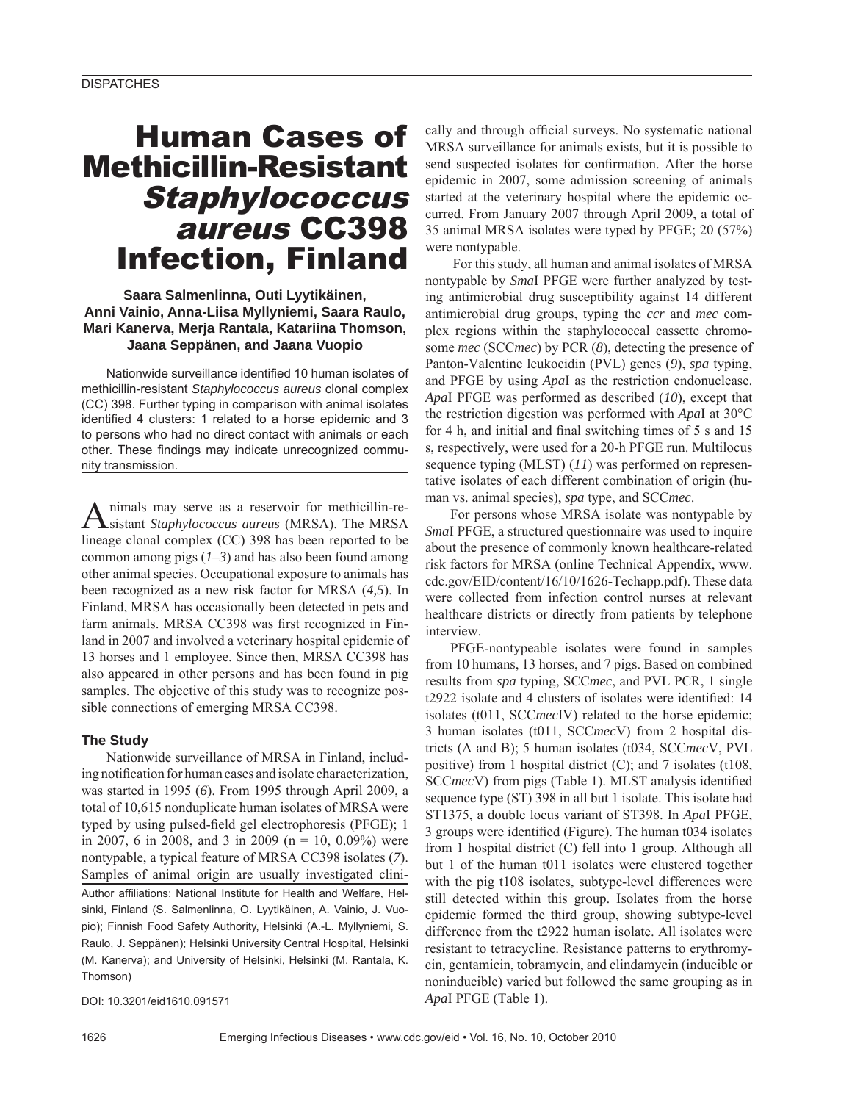# Human Cases of Methicillin-Resistant **Staphylococcus** aureus CC398 Infection, Finland

## **Saara Salmenlinna, Outi Lyytikäinen, Anni Vainio, Anna-Liisa Myllyniemi, Saara Raulo, Mari Kanerva, Merja Rantala, Katariina Thomson, Jaana Seppänen, and Jaana Vuopio**

Nationwide surveillance identified 10 human isolates of methicillin-resistant *Staphylococcus aureus* clonal complex (CC) 398. Further typing in comparison with animal isolates identified 4 clusters: 1 related to a horse epidemic and 3 to persons who had no direct contact with animals or each other. These findings may indicate unrecognized community transmission.

Animals may serve as a reservoir for methicillin-re-sistant *Staphylococcus aureus* (MRSA). The MRSA lineage clonal complex (CC) 398 has been reported to be common among pigs (*1–3*) and has also been found among other animal species. Occupational exposure to animals has been recognized as a new risk factor for MRSA (*4,5*). In Finland, MRSA has occasionally been detected in pets and farm animals. MRSA CC398 was first recognized in Finland in 2007 and involved a veterinary hospital epidemic of 13 horses and 1 employee. Since then, MRSA CC398 has also appeared in other persons and has been found in pig samples. The objective of this study was to recognize possible connections of emerging MRSA CC398.

### **The Study**

Nationwide surveillance of MRSA in Finland, including notification for human cases and isolate characterization, was started in 1995 (*6*). From 1995 through April 2009, a total of 10,615 nonduplicate human isolates of MRSA were typed by using pulsed-field gel electrophoresis (PFGE); 1 in 2007, 6 in 2008, and 3 in 2009 ( $n = 10$ , 0.09%) were nontypable, a typical feature of MRSA CC398 isolates (*7*). Samples of animal origin are usually investigated clini-Author affiliations: National Institute for Health and Welfare, Helsinki, Finland (S. Salmenlinna, O. Lyytikäinen, A. Vainio, J. Vuopio); Finnish Food Safety Authority, Helsinki (A.-L. Myllyniemi, S. Raulo, J. Seppänen); Helsinki University Central Hospital, Helsinki (M. Kanerva); and University of Helsinki, Helsinki (M. Rantala, K. Thomson)

DOI: 10.3201/eid1610.091571

cally and through official surveys. No systematic national MRSA surveillance for animals exists, but it is possible to send suspected isolates for confirmation. After the horse epidemic in 2007, some admission screening of animals started at the veterinary hospital where the epidemic occurred. From January 2007 through April 2009, a total of 35 animal MRSA isolates were typed by PFGE; 20 (57%) were nontypable.

 For this study, all human and animal isolates of MRSA nontypable by *Sma*I PFGE were further analyzed by testing antimicrobial drug susceptibility against 14 different antimicrobial drug groups, typing the *ccr* and *mec* complex regions within the staphylococcal cassette chromosome *mec* (SCC*mec*) by PCR (*8*), detecting the presence of Panton-Valentine leukocidin (PVL) genes (*9*), *spa* typing, and PFGE by using *Apa*I as the restriction endonuclease. *Apa*I PFGE was performed as described (*10*), except that the restriction digestion was performed with *Apa*I at 30°C for 4 h, and initial and final switching times of  $5 \text{ s}$  and  $15$ s, respectively, were used for a 20-h PFGE run. Multilocus sequence typing (MLST) (*11*) was performed on representative isolates of each different combination of origin (human vs. animal species), *spa* type, and SCC*mec*.

For persons whose MRSA isolate was nontypable by *Sma*I PFGE, a structured questionnaire was used to inquire about the presence of commonly known healthcare-related risk factors for MRSA (online Technical Appendix, www. cdc.gov/EID/content/16/10/1626-Techapp.pdf). These data were collected from infection control nurses at relevant healthcare districts or directly from patients by telephone interview.

PFGE-nontypeable isolates were found in samples from 10 humans, 13 horses, and 7 pigs. Based on combined results from *spa* typing, SCC*mec*, and PVL PCR, 1 single t2922 isolate and 4 clusters of isolates were identified: 14 isolates (t011, SCC*mec*IV) related to the horse epidemic; 3 human isolates (t011, SCC*mec*V) from 2 hospital districts (A and B); 5 human isolates (t034, SCC*mec*V, PVL positive) from 1 hospital district (C); and 7 isolates (t108, SCC<sub>mec</sub>V) from pigs (Table 1). MLST analysis identified sequence type (ST) 398 in all but 1 isolate. This isolate had ST1375, a double locus variant of ST398. In *Apa*I PFGE, 3 groups were identified (Figure). The human t034 isolates from 1 hospital district (C) fell into 1 group. Although all but 1 of the human t011 isolates were clustered together with the pig t108 isolates, subtype-level differences were still detected within this group. Isolates from the horse epidemic formed the third group, showing subtype-level difference from the t2922 human isolate. All isolates were resistant to tetracycline. Resistance patterns to erythromycin, gentamicin, tobramycin, and clindamycin (inducible or noninducible) varied but followed the same grouping as in *Apa*I PFGE (Table 1).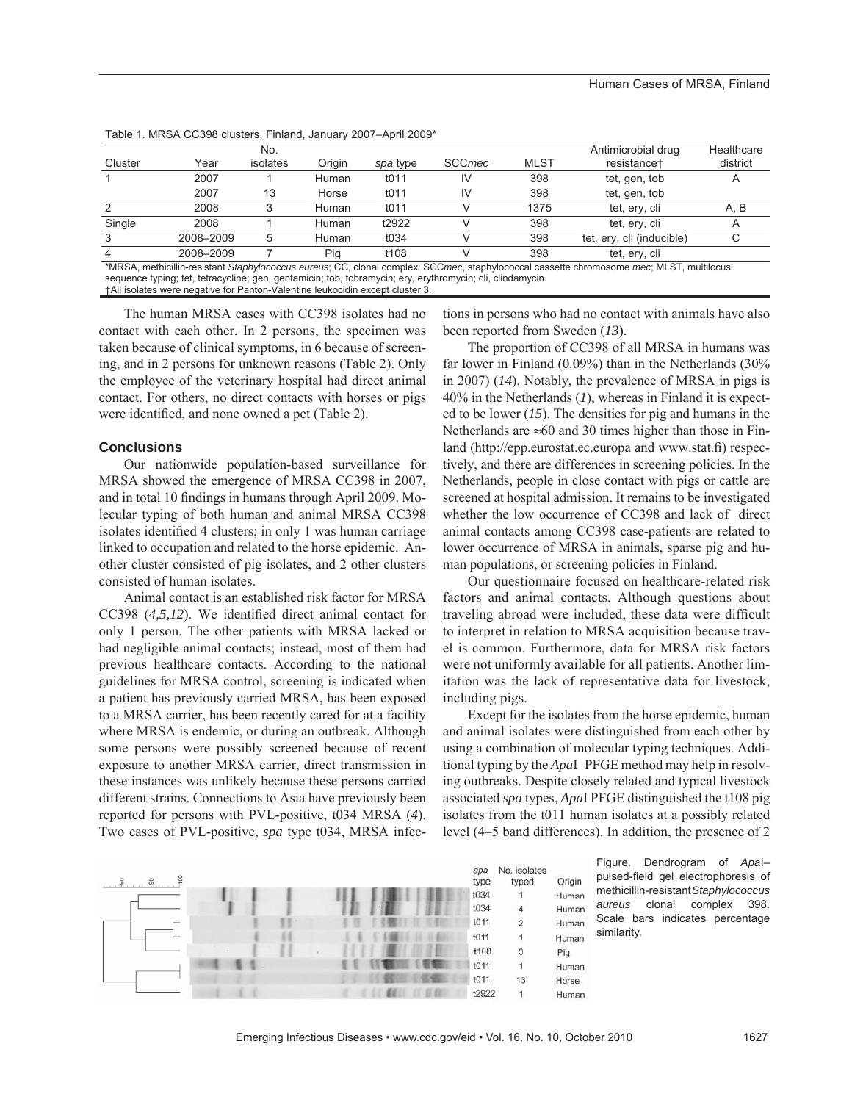|                                                                                                                                      |           | No.      |        |          |               |             | Antimicrobial drug        | Healthcare |  |
|--------------------------------------------------------------------------------------------------------------------------------------|-----------|----------|--------|----------|---------------|-------------|---------------------------|------------|--|
| Cluster                                                                                                                              | Year      | isolates | Origin | spa type | <b>SCCmec</b> | <b>MLST</b> | resistance <sup>+</sup>   | district   |  |
|                                                                                                                                      | 2007      |          | Human  | t011     |               | 398         | tet, gen, tob             |            |  |
|                                                                                                                                      | 2007      | 13       | Horse  | t011     |               | 398         | tet, gen, tob             |            |  |
|                                                                                                                                      | 2008      |          | Human  | t011     |               | 1375        | tet, ery, cli             | A, B       |  |
| Single                                                                                                                               | 2008      |          | Human  | t2922    |               | 398         | tet, erv, cli             |            |  |
|                                                                                                                                      | 2008-2009 | 5        | Human  | t034     |               | 398         | tet, ery, cli (inducible) |            |  |
|                                                                                                                                      | 2008-2009 |          | Pig    | t108     |               | 398         | tet, ery, cli             |            |  |
| *MRSA methicillin-resistant Staphylococcus aureus: CC clonal complex: SCCmec staphylococcal cassette chromosome mec: MLST multilocus |           |          |        |          |               |             |                           |            |  |

Table 1. MRSA CC398 clusters, Finland, January 2007–April 2009\*

\*MRSA, methicillin-resistant *Staphylococcus aureus*; CC, clonal complex; SCC*mec*, staphylococcal cassette chromosome *mec*; MLST, multilocus sequence typing; tet, tetracycline; gen, gentamicin; tob, tobramycin; ery, erythromycin; cli, clindamycin.

†All isolates were negative for Panton-Valentine leukocidin except cluster 3.

The human MRSA cases with CC398 isolates had no contact with each other. In 2 persons, the specimen was taken because of clinical symptoms, in 6 because of screening, and in 2 persons for unknown reasons (Table 2). Only the employee of the veterinary hospital had direct animal contact. For others, no direct contacts with horses or pigs were identified, and none owned a pet (Table 2).

#### **Conclusions**

Our nationwide population-based surveillance for MRSA showed the emergence of MRSA CC398 in 2007, and in total 10 findings in humans through April 2009. Molecular typing of both human and animal MRSA CC398 isolates identified 4 clusters; in only 1 was human carriage linked to occupation and related to the horse epidemic. Another cluster consisted of pig isolates, and 2 other clusters consisted of human isolates.

Animal contact is an established risk factor for MRSA CC398 (4,5,12). We identified direct animal contact for only 1 person. The other patients with MRSA lacked or had negligible animal contacts; instead, most of them had previous healthcare contacts. According to the national guidelines for MRSA control, screening is indicated when a patient has previously carried MRSA, has been exposed to a MRSA carrier, has been recently cared for at a facility where MRSA is endemic, or during an outbreak. Although some persons were possibly screened because of recent exposure to another MRSA carrier, direct transmission in these instances was unlikely because these persons carried different strains. Connections to Asia have previously been reported for persons with PVL-positive, t034 MRSA (*4*). Two cases of PVL-positive, *spa* type t034, MRSA infections in persons who had no contact with animals have also been reported from Sweden (*13*).

The proportion of CC398 of all MRSA in humans was far lower in Finland (0.09%) than in the Netherlands (30% in 2007) (*14*). Notably, the prevalence of MRSA in pigs is 40% in the Netherlands (*1*), whereas in Finland it is expected to be lower (*15*). The densities for pig and humans in the Netherlands are ≈60 and 30 times higher than those in Finland (http://epp.eurostat.ec.europa and www.stat.fi) respectively, and there are differences in screening policies. In the Netherlands, people in close contact with pigs or cattle are screened at hospital admission. It remains to be investigated whether the low occurrence of CC398 and lack of direct animal contacts among CC398 case-patients are related to lower occurrence of MRSA in animals, sparse pig and human populations, or screening policies in Finland.

Our questionnaire focused on healthcare-related risk factors and animal contacts. Although questions about traveling abroad were included, these data were difficult to interpret in relation to MRSA acquisition because travel is common. Furthermore, data for MRSA risk factors were not uniformly available for all patients. Another limitation was the lack of representative data for livestock, including pigs.

Except for the isolates from the horse epidemic, human and animal isolates were distinguished from each other by using a combination of molecular typing techniques. Additional typing by the *Apa*I–PFGE method may help in resolving outbreaks. Despite closely related and typical livestock associated *spa* types, *Apa*I PFGE distinguished the t108 pig isolates from the t011 human isolates at a possibly related level (4–5 band differences). In addition, the presence of 2



Figure. Dendrogram of *Apa*I– pulsed-field gel electrophoresis of methicillin-resistant *Staphylococcus aureus* clonal complex 398. Scale bars indicates percentage similarity.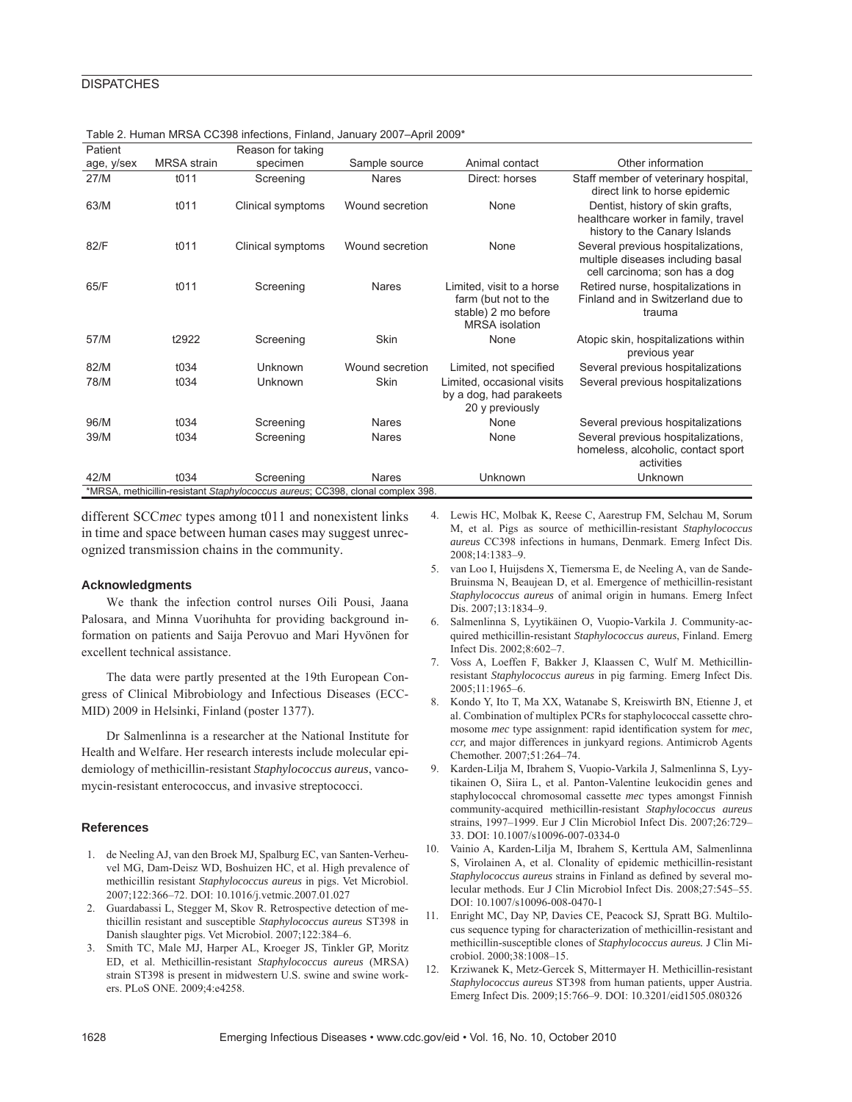| Patient                                                                        |                    | Reason for taking |                 |                                                                                                   |                                                                                                          |  |  |
|--------------------------------------------------------------------------------|--------------------|-------------------|-----------------|---------------------------------------------------------------------------------------------------|----------------------------------------------------------------------------------------------------------|--|--|
| age, y/sex                                                                     | <b>MRSA</b> strain | specimen          | Sample source   | Animal contact                                                                                    | Other information                                                                                        |  |  |
| 27/M                                                                           | t011               | Screening         | <b>Nares</b>    | Direct: horses                                                                                    | Staff member of veterinary hospital,<br>direct link to horse epidemic                                    |  |  |
| 63/M                                                                           | t011               | Clinical symptoms | Wound secretion | None                                                                                              | Dentist, history of skin grafts,<br>healthcare worker in family, travel<br>history to the Canary Islands |  |  |
| 82/F                                                                           | t011               | Clinical symptoms | Wound secretion | None                                                                                              | Several previous hospitalizations,<br>multiple diseases including basal<br>cell carcinoma; son has a dog |  |  |
| 65/F                                                                           | 1011               | Screening         | Nares           | Limited, visit to a horse<br>farm (but not to the<br>stable) 2 mo before<br><b>MRSA</b> isolation | Retired nurse, hospitalizations in<br>Finland and in Switzerland due to<br>trauma                        |  |  |
| 57/M                                                                           | t2922              | Screening         | <b>Skin</b>     | None                                                                                              | Atopic skin, hospitalizations within<br>previous year                                                    |  |  |
| 82/M                                                                           | t034               | Unknown           | Wound secretion | Limited, not specified                                                                            | Several previous hospitalizations                                                                        |  |  |
| 78/M                                                                           | t034               | Unknown           | <b>Skin</b>     | Limited, occasional visits<br>by a dog, had parakeets<br>20 y previously                          | Several previous hospitalizations                                                                        |  |  |
| 96/M                                                                           | t034               | Screening         | <b>Nares</b>    | None                                                                                              | Several previous hospitalizations                                                                        |  |  |
| 39/M                                                                           | t034               | Screening         | <b>Nares</b>    | None                                                                                              | Several previous hospitalizations,<br>homeless, alcoholic, contact sport<br>activities                   |  |  |
| 42/M                                                                           | t034               | Screening         | <b>Nares</b>    | <b>Unknown</b>                                                                                    | Unknown                                                                                                  |  |  |
| *MRSA, methicillin-resistant Staphylococcus aureus; CC398, clonal complex 398. |                    |                   |                 |                                                                                                   |                                                                                                          |  |  |

Table 2. Human MRSA CC398 infections, Finland, January 2007–April 2009\*

different SCC*mec* types among t011 and nonexistent links in time and space between human cases may suggest unrecognized transmission chains in the community.

#### **Acknowledgments**

We thank the infection control nurses Oili Pousi, Jaana Palosara, and Minna Vuorihuhta for providing background information on patients and Saija Perovuo and Mari Hyvönen for excellent technical assistance.

The data were partly presented at the 19th European Congress of Clinical Mibrobiology and Infectious Diseases (ECC-MID) 2009 in Helsinki, Finland (poster 1377).

Dr Salmenlinna is a researcher at the National Institute for Health and Welfare. Her research interests include molecular epidemiology of methicillin-resistant *Staphylococcus aureus*, vancomycin-resistant enterococcus, and invasive streptococci.

#### **References**

- 1. de Neeling AJ, van den Broek MJ, Spalburg EC, van Santen-Verheuvel MG, Dam-Deisz WD, Boshuizen HC, et al. High prevalence of methicillin resistant *Staphylococcus aureus* in pigs. Vet Microbiol. 2007;122:366–72. DOI: 10.1016/j.vetmic.2007.01.027
- 2. Guardabassi L, Stegger M, Skov R. Retrospective detection of methicillin resistant and susceptible *Staphylococcus aureus* ST398 in Danish slaughter pigs. Vet Microbiol. 2007;122:384–6.
- 3. Smith TC, Male MJ, Harper AL, Kroeger JS, Tinkler GP, Moritz ED, et al. Methicillin-resistant *Staphylococcus aureus* (MRSA) strain ST398 is present in midwestern U.S. swine and swine workers. PLoS ONE. 2009;4:e4258.
- 4. Lewis HC, Molbak K, Reese C, Aarestrup FM, Selchau M, Sorum M, et al. Pigs as source of methicillin-resistant *Staphylococcus aureus* CC398 infections in humans, Denmark. Emerg Infect Dis. 2008;14:1383–9.
- 5. van Loo I, Huijsdens X, Tiemersma E, de Neeling A, van de Sande-Bruinsma N, Beaujean D, et al. Emergence of methicillin-resistant *Staphylococcus aureus* of animal origin in humans. Emerg Infect Dis. 2007;13:1834–9.
- 6. Salmenlinna S, Lyytikäinen O, Vuopio-Varkila J. Community-acquired methicillin-resistant *Staphylococcus aureus*, Finland. Emerg Infect Dis. 2002;8:602–7.
- 7. Voss A, Loeffen F, Bakker J, Klaassen C, Wulf M. Methicillinresistant *Staphylococcus aureus* in pig farming. Emerg Infect Dis. 2005;11:1965–6.
- 8. Kondo Y, Ito T, Ma XX, Watanabe S, Kreiswirth BN, Etienne J, et al. Combination of multiplex PCRs for staphylococcal cassette chromosome *mec* type assignment: rapid identification system for *mec*, *ccr,* and major differences in junkyard regions. Antimicrob Agents Chemother. 2007;51:264–74.
- 9. Karden-Lilja M, Ibrahem S, Vuopio-Varkila J, Salmenlinna S, Lyytikainen O, Siira L, et al. Panton-Valentine leukocidin genes and staphylococcal chromosomal cassette *mec* types amongst Finnish community-acquired methicillin-resistant *Staphylococcus aureus* strains, 1997–1999. Eur J Clin Microbiol Infect Dis. 2007;26:729– 33. DOI: 10.1007/s10096-007-0334-0
- 10. Vainio A, Karden-Lilja M, Ibrahem S, Kerttula AM, Salmenlinna S, Virolainen A, et al. Clonality of epidemic methicillin-resistant *Staphylococcus aureus* strains in Finland as defined by several molecular methods. Eur J Clin Microbiol Infect Dis. 2008;27:545–55. DOI: 10.1007/s10096-008-0470-1
- 11. Enright MC, Day NP, Davies CE, Peacock SJ, Spratt BG. Multilocus sequence typing for characterization of methicillin-resistant and methicillin-susceptible clones of *Staphylococcus aureus.* J Clin Microbiol. 2000;38:1008–15.
- 12. Krziwanek K, Metz-Gercek S, Mittermayer H. Methicillin-resistant *Staphylococcus aureus* ST398 from human patients, upper Austria. Emerg Infect Dis. 2009;15:766–9. DOI: 10.3201/eid1505.080326